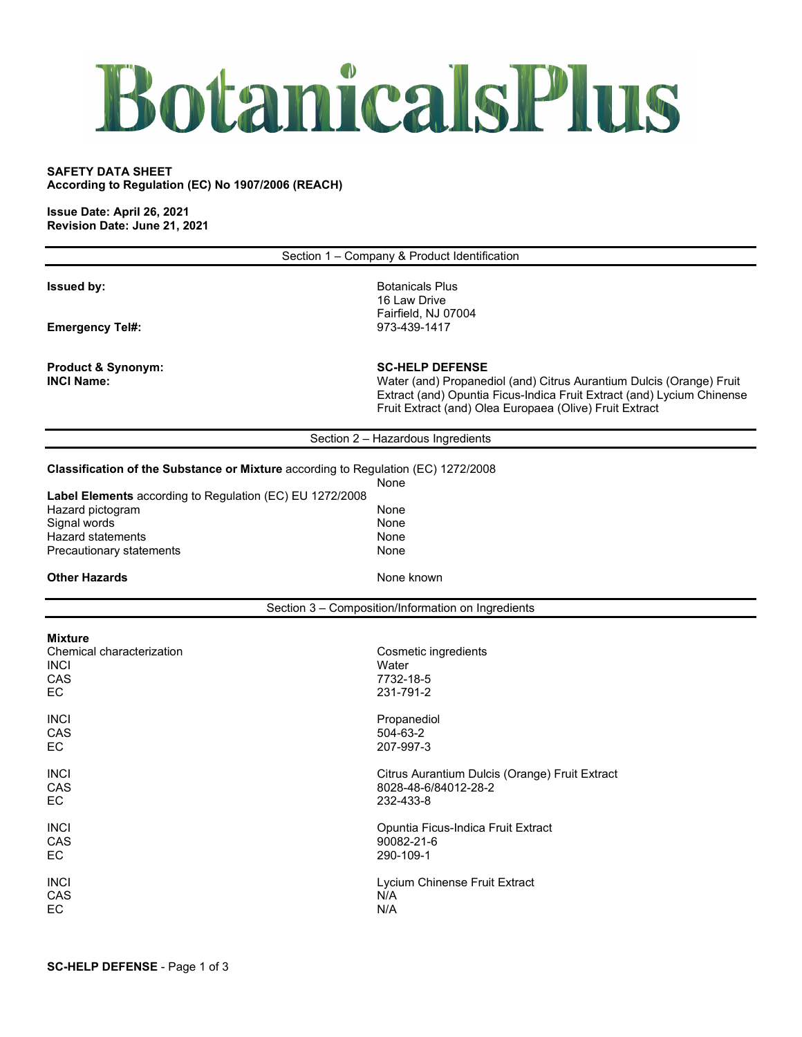## BotanicalsPlus

## **SAFETY DATA SHEET**

**According to Regulation (EC) No 1907/2006 (REACH)**

**Issue Date: April 26, 2021 Revision Date: June 21, 2021**

|                                                                                   | Section 1 - Company & Product Identification                                                                                                                                                                                        |
|-----------------------------------------------------------------------------------|-------------------------------------------------------------------------------------------------------------------------------------------------------------------------------------------------------------------------------------|
| <b>Issued by:</b>                                                                 | <b>Botanicals Plus</b><br>16 Law Drive<br>Fairfield, NJ 07004                                                                                                                                                                       |
| <b>Emergency Tel#:</b>                                                            | 973-439-1417                                                                                                                                                                                                                        |
| <b>Product &amp; Synonym:</b><br><b>INCI Name:</b>                                | <b>SC-HELP DEFENSE</b><br>Water (and) Propanediol (and) Citrus Aurantium Dulcis (Orange) Fruit<br>Extract (and) Opuntia Ficus-Indica Fruit Extract (and) Lycium Chinense<br>Fruit Extract (and) Olea Europaea (Olive) Fruit Extract |
|                                                                                   | Section 2 - Hazardous Ingredients                                                                                                                                                                                                   |
| Classification of the Substance or Mixture according to Regulation (EC) 1272/2008 | None                                                                                                                                                                                                                                |
| Label Elements according to Regulation (EC) EU 1272/2008                          |                                                                                                                                                                                                                                     |
| Hazard pictogram<br>Signal words                                                  | None<br>None                                                                                                                                                                                                                        |
| <b>Hazard statements</b>                                                          | None                                                                                                                                                                                                                                |
| Precautionary statements                                                          | None                                                                                                                                                                                                                                |
| <b>Other Hazards</b>                                                              | None known                                                                                                                                                                                                                          |
|                                                                                   |                                                                                                                                                                                                                                     |
|                                                                                   | Section 3 - Composition/Information on Ingredients                                                                                                                                                                                  |
| <b>Mixture</b>                                                                    |                                                                                                                                                                                                                                     |
| Chemical characterization                                                         | Cosmetic ingredients                                                                                                                                                                                                                |
| <b>INCI</b>                                                                       | Water                                                                                                                                                                                                                               |
| CAS                                                                               | 7732-18-5                                                                                                                                                                                                                           |
| EC.                                                                               | 231-791-2                                                                                                                                                                                                                           |
| <b>INCI</b>                                                                       | Propanediol                                                                                                                                                                                                                         |
| CAS                                                                               | 504-63-2                                                                                                                                                                                                                            |
| EC.                                                                               | 207-997-3                                                                                                                                                                                                                           |
| <b>INCI</b>                                                                       | Citrus Aurantium Dulcis (Orange) Fruit Extract                                                                                                                                                                                      |
| CAS                                                                               | 8028-48-6/84012-28-2                                                                                                                                                                                                                |
| EC.                                                                               | 232-433-8                                                                                                                                                                                                                           |
| <b>INCI</b>                                                                       | Opuntia Ficus-Indica Fruit Extract                                                                                                                                                                                                  |
| <b>CAS</b>                                                                        | 90082-21-6                                                                                                                                                                                                                          |
| EC                                                                                | 290-109-1                                                                                                                                                                                                                           |
| <b>INCI</b>                                                                       | Lycium Chinense Fruit Extract                                                                                                                                                                                                       |
| CAS                                                                               | N/A                                                                                                                                                                                                                                 |
| EC                                                                                | N/A                                                                                                                                                                                                                                 |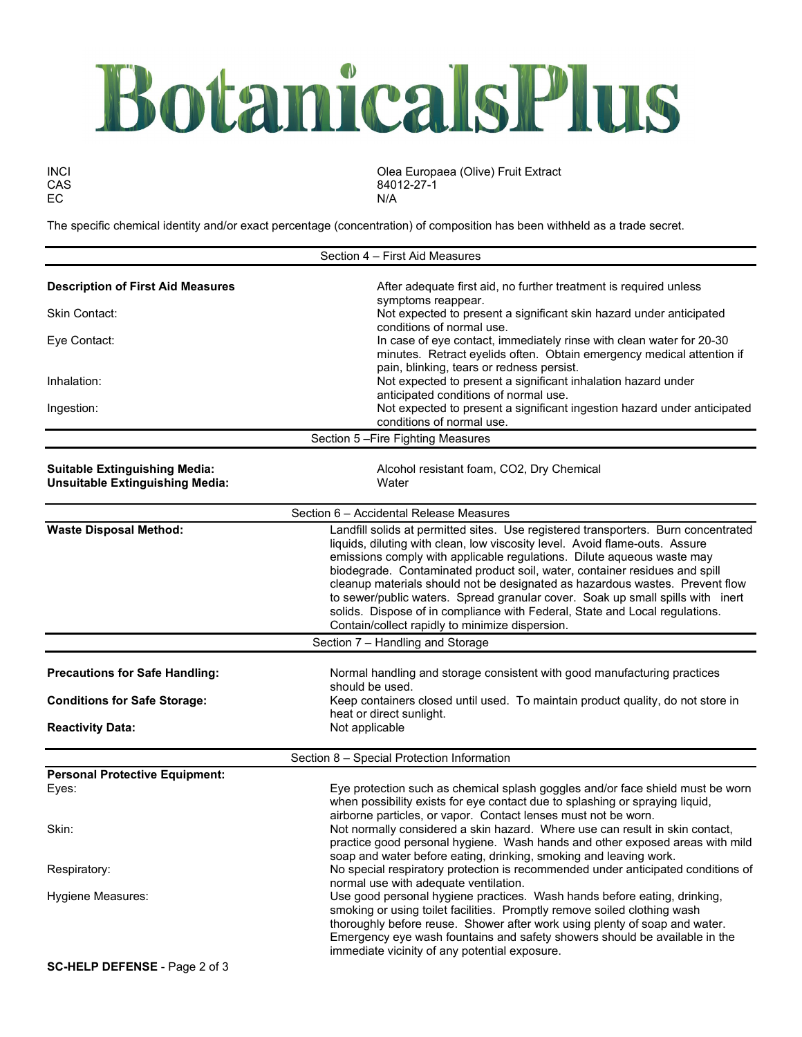## BotanicalsPlus

EC N/A

INCI Olea Europaea (Olive) Fruit Extract CAS 84012-27-1<br>EC N/A

The specific chemical identity and/or exact percentage (concentration) of composition has been withheld as a trade secret.

|                                                                                | Section 4 - First Aid Measures                                                                                                                                                                                                                                                                                                                                                                                                                                                                                                                                                                                                |  |  |  |  |
|--------------------------------------------------------------------------------|-------------------------------------------------------------------------------------------------------------------------------------------------------------------------------------------------------------------------------------------------------------------------------------------------------------------------------------------------------------------------------------------------------------------------------------------------------------------------------------------------------------------------------------------------------------------------------------------------------------------------------|--|--|--|--|
| <b>Description of First Aid Measures</b>                                       | After adequate first aid, no further treatment is required unless<br>symptoms reappear.                                                                                                                                                                                                                                                                                                                                                                                                                                                                                                                                       |  |  |  |  |
| <b>Skin Contact:</b>                                                           | Not expected to present a significant skin hazard under anticipated                                                                                                                                                                                                                                                                                                                                                                                                                                                                                                                                                           |  |  |  |  |
| Eye Contact:                                                                   | conditions of normal use.<br>In case of eye contact, immediately rinse with clean water for 20-30<br>minutes. Retract eyelids often. Obtain emergency medical attention if                                                                                                                                                                                                                                                                                                                                                                                                                                                    |  |  |  |  |
| Inhalation:                                                                    | pain, blinking, tears or redness persist.<br>Not expected to present a significant inhalation hazard under<br>anticipated conditions of normal use.                                                                                                                                                                                                                                                                                                                                                                                                                                                                           |  |  |  |  |
| Ingestion:                                                                     | Not expected to present a significant ingestion hazard under anticipated<br>conditions of normal use.                                                                                                                                                                                                                                                                                                                                                                                                                                                                                                                         |  |  |  |  |
|                                                                                | Section 5-Fire Fighting Measures                                                                                                                                                                                                                                                                                                                                                                                                                                                                                                                                                                                              |  |  |  |  |
| <b>Suitable Extinguishing Media:</b><br><b>Unsuitable Extinguishing Media:</b> | Alcohol resistant foam, CO2, Dry Chemical<br>Water                                                                                                                                                                                                                                                                                                                                                                                                                                                                                                                                                                            |  |  |  |  |
| Section 6 - Accidental Release Measures                                        |                                                                                                                                                                                                                                                                                                                                                                                                                                                                                                                                                                                                                               |  |  |  |  |
| <b>Waste Disposal Method:</b>                                                  | Landfill solids at permitted sites. Use registered transporters. Burn concentrated<br>liquids, diluting with clean, low viscosity level. Avoid flame-outs. Assure<br>emissions comply with applicable regulations. Dilute aqueous waste may<br>biodegrade. Contaminated product soil, water, container residues and spill<br>cleanup materials should not be designated as hazardous wastes. Prevent flow<br>to sewer/public waters. Spread granular cover. Soak up small spills with inert<br>solids. Dispose of in compliance with Federal, State and Local regulations.<br>Contain/collect rapidly to minimize dispersion. |  |  |  |  |
|                                                                                | Section 7 - Handling and Storage                                                                                                                                                                                                                                                                                                                                                                                                                                                                                                                                                                                              |  |  |  |  |
| <b>Precautions for Safe Handling:</b>                                          | Normal handling and storage consistent with good manufacturing practices<br>should be used.                                                                                                                                                                                                                                                                                                                                                                                                                                                                                                                                   |  |  |  |  |
| <b>Conditions for Safe Storage:</b>                                            | Keep containers closed until used. To maintain product quality, do not store in<br>heat or direct sunlight.                                                                                                                                                                                                                                                                                                                                                                                                                                                                                                                   |  |  |  |  |
| <b>Reactivity Data:</b>                                                        | Not applicable                                                                                                                                                                                                                                                                                                                                                                                                                                                                                                                                                                                                                |  |  |  |  |
|                                                                                | Section 8 - Special Protection Information                                                                                                                                                                                                                                                                                                                                                                                                                                                                                                                                                                                    |  |  |  |  |
| <b>Personal Protective Equipment:</b>                                          |                                                                                                                                                                                                                                                                                                                                                                                                                                                                                                                                                                                                                               |  |  |  |  |
| Eyes:                                                                          | Eye protection such as chemical splash goggles and/or face shield must be worn<br>when possibility exists for eye contact due to splashing or spraying liquid,<br>airborne particles, or vapor. Contact lenses must not be worn.                                                                                                                                                                                                                                                                                                                                                                                              |  |  |  |  |
| Skin:                                                                          | Not normally considered a skin hazard. Where use can result in skin contact,<br>practice good personal hygiene. Wash hands and other exposed areas with mild<br>soap and water before eating, drinking, smoking and leaving work.                                                                                                                                                                                                                                                                                                                                                                                             |  |  |  |  |
| Respiratory:                                                                   | No special respiratory protection is recommended under anticipated conditions of<br>normal use with adequate ventilation.                                                                                                                                                                                                                                                                                                                                                                                                                                                                                                     |  |  |  |  |
| Hygiene Measures:                                                              | Use good personal hygiene practices. Wash hands before eating, drinking,<br>smoking or using toilet facilities. Promptly remove soiled clothing wash<br>thoroughly before reuse. Shower after work using plenty of soap and water.<br>Emergency eye wash fountains and safety showers should be available in the<br>immediate vicinity of any potential exposure.                                                                                                                                                                                                                                                             |  |  |  |  |
| SC-HELP DEFENSE - Page 2 of 3                                                  |                                                                                                                                                                                                                                                                                                                                                                                                                                                                                                                                                                                                                               |  |  |  |  |